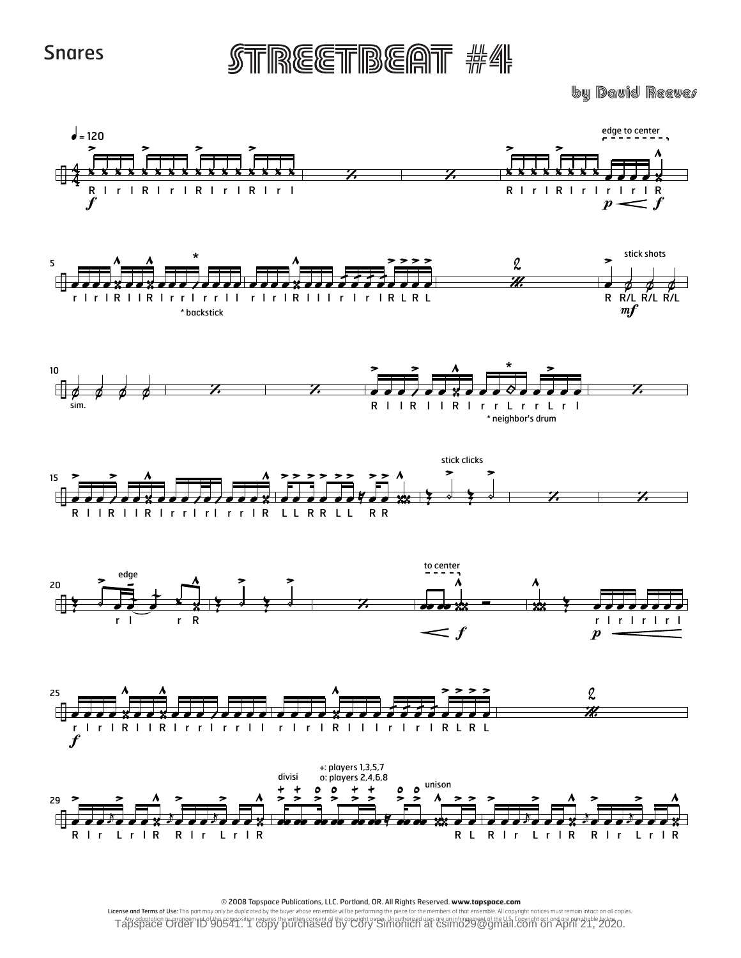STREETBEAT #4

**by David Reever** 



© 2008 Tapspace Publications, LLC. Portland, OR. All Rights Reserved. www.tapspace.com

License and Terms of Use: This part may only be duplicated by the buyer whose ensemble will be performing the piece for the members of that ensemble. All copyright notices must remain intact on all copies. Tapsdeed of the U.S. Copyright Copyright Copyright Copyright Copyright Copyright Copyright Copyright Copyright Copyright Copyright Copyright Copyright Copyright Copyright Copyright Copyright Copyright Copyright Copyright C